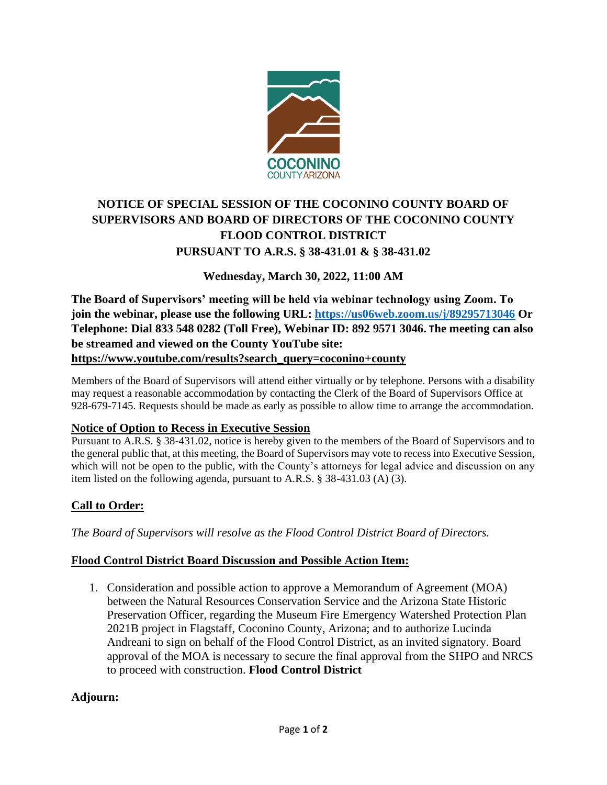

# **NOTICE OF SPECIAL SESSION OF THE COCONINO COUNTY BOARD OF SUPERVISORS AND BOARD OF DIRECTORS OF THE COCONINO COUNTY FLOOD CONTROL DISTRICT PURSUANT TO A.R.S. § 38-431.01 & § 38-431.02**

## **Wednesday, March 30, 2022, 11:00 AM**

**The Board of Supervisors' meeting will be held via webinar technology using Zoom. To join the webinar, please use the following URL:<https://us06web.zoom.us/j/89295713046> Or Telephone: Dial 833 548 0282 (Toll Free), Webinar ID: 892 9571 3046. The meeting can also be streamed and viewed on the County YouTube site: [https://www.youtube.com/results?search\\_query=coconino+county](https://www.youtube.com/results?search_query=coconino+county)**

Members of the Board of Supervisors will attend either virtually or by telephone. Persons with a disability may request a reasonable accommodation by contacting the Clerk of the Board of Supervisors Office at 928-679-7145. Requests should be made as early as possible to allow time to arrange the accommodation.

## **Notice of Option to Recess in Executive Session**

Pursuant to A.R.S. § 38-431.02, notice is hereby given to the members of the Board of Supervisors and to the general public that, at this meeting, the Board of Supervisors may vote to recess into Executive Session, which will not be open to the public, with the County's attorneys for legal advice and discussion on any item listed on the following agenda, pursuant to A.R.S. § 38-431.03 (A) (3).

## **Call to Order:**

*The Board of Supervisors will resolve as the Flood Control District Board of Directors.*

## **Flood Control District Board Discussion and Possible Action Item:**

1. Consideration and possible action to approve a Memorandum of Agreement (MOA) between the Natural Resources Conservation Service and the Arizona State Historic Preservation Officer, regarding the Museum Fire Emergency Watershed Protection Plan 2021B project in Flagstaff, Coconino County, Arizona; and to authorize Lucinda Andreani to sign on behalf of the Flood Control District, as an invited signatory. Board approval of the MOA is necessary to secure the final approval from the SHPO and NRCS to proceed with construction. **Flood Control District**

## **Adjourn:**